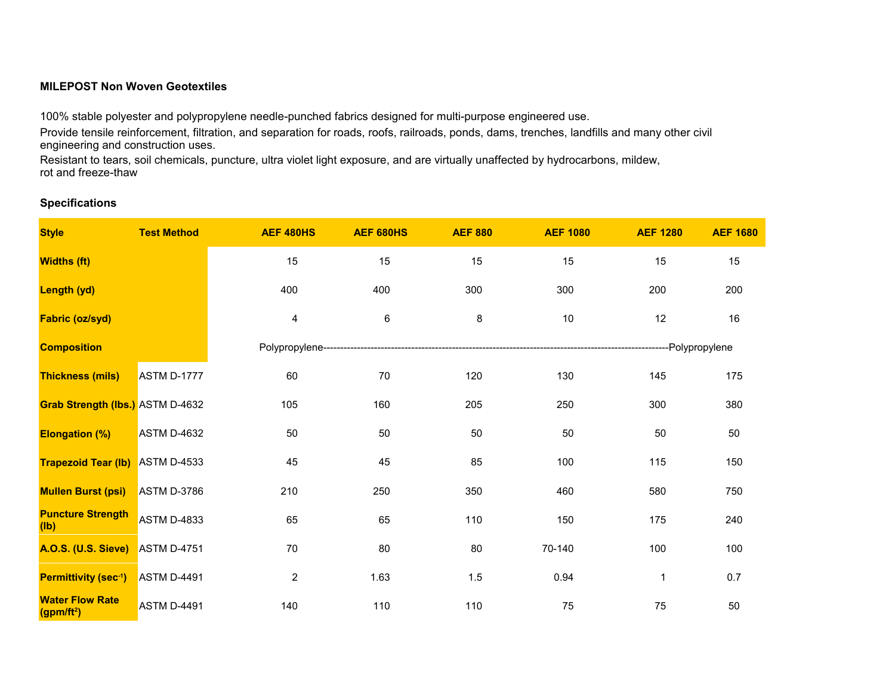## **MILEPOST Non Woven Geotextiles**

100% stable polyester and polypropylene needle-punched fabrics designed for multi-purpose engineered use.

Provide tensile reinforcement, filtration, and separation for roads, roofs, railroads, ponds, dams, trenches, landfills and many other civil engineering and construction uses.

Resistant to tears, soil chemicals, puncture, ultra violet light exposure, and are virtually unaffected by hydrocarbons, mildew, rot and freeze-thaw

## **Specifications**

| <b>Style</b>                                     | <b>Test Method</b> | <b>AEF 480HS</b>        | <b>AEF 680HS</b> | <b>AEF 880</b> | <b>AEF 1080</b> | <b>AEF 1280</b> | <b>AEF 1680</b> |  |
|--------------------------------------------------|--------------------|-------------------------|------------------|----------------|-----------------|-----------------|-----------------|--|
| <b>Widths (ft)</b>                               |                    | 15                      | 15               | 15             | 15              | 15              | 15              |  |
| Length (yd)                                      |                    | 400                     | 400              | 300            | 300             | 200             | 200             |  |
| <b>Fabric (oz/syd)</b>                           |                    | 4                       | 6                | 8              | $10$            | 12              | 16              |  |
| <b>Composition</b>                               |                    |                         |                  |                |                 |                 |                 |  |
| <b>Thickness (mils)</b>                          | ASTM D-1777        | 60                      | 70               | 120            | 130             | 145             | 175             |  |
| Grab Strength (lbs.) ASTM D-4632                 |                    | 105                     | 160              | 205            | 250             | 300             | 380             |  |
| <b>Elongation (%)</b>                            | <b>ASTM D-4632</b> | 50                      | 50               | 50             | 50              | 50              | 50              |  |
| <b>Trapezoid Tear (Ib)</b> ASTM D-4533           |                    | 45                      | 45               | 85             | 100             | 115             | 150             |  |
| <b>Mullen Burst (psi)</b>                        | <b>ASTM D-3786</b> | 210                     | 250              | 350            | 460             | 580             | 750             |  |
| <b>Puncture Strength</b><br>(Ib)                 | <b>ASTM D-4833</b> | 65                      | 65               | 110            | 150             | 175             | 240             |  |
| A.O.S. (U.S. Sieve) ASTM D-4751                  |                    | 70                      | 80               | 80             | 70-140          | 100             | 100             |  |
| Permittivity (sec-1)                             | <b>ASTM D-4491</b> | $\overline{\mathbf{c}}$ | 1.63             | 1.5            | 0.94            | $\mathbf 1$     | 0.7             |  |
| <b>Water Flow Rate</b><br>(gpm/ft <sup>2</sup> ) | <b>ASTM D-4491</b> | 140                     | 110              | 110            | 75              | 75              | 50              |  |